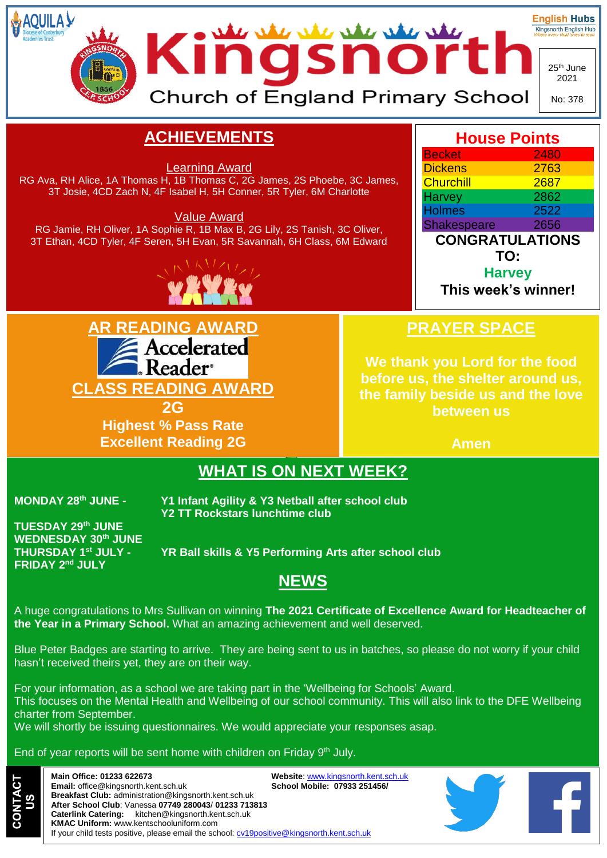

**Email:** [office@kingsnorth.kent.sch.uk](mailto:office@kingsnorth.kent.sch.uk) **Breakfast Club:** [administration@kingsnorth.kent.sch.uk](mailto:administration@kingsnorth.kent.sch.uk) **After School Club**: Vanessa **07749 280043**/ **01233 713813 Caterlink Catering:** [kitchen@kingsnorth.kent.sch.uk](mailto:kitchen@kingsnorth.kent.sch.uk) **KMAC Uniform:** [www.kentschooluniform.com](http://www.kentschooluniform.com/) If your child tests positive, please email the school: [cv19positive@kingsnorth.kent.sch.uk](mailto:cv19positive@kingsnorth.kent.sch.uk)